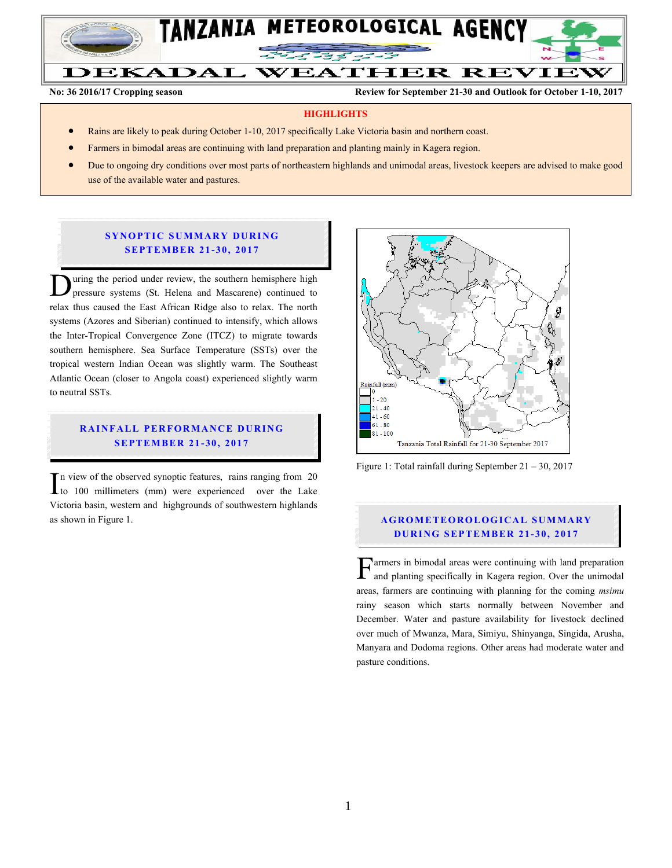

**No: 36 2016/17 Cropping season Review for September 21-30 and Outlook for October 1-10, 2017**

#### **HIGHLIGHTS**

- Rains are likely to peak during October 1-10, 2017 specifically Lake Victoria basin and northern coast.
- Farmers in bimodal areas are continuing with land preparation and planting mainly in Kagera region.
- Due to ongoing dry conditions over most parts of northeastern highlands and unimodal areas, livestock keepers are advised to make good use of the available water and pastures.

### **SYNOPTIC SUMMARY DURING SEPTEMBER 21-30, 2017**

uring the period under review, the southern hemisphere high pressure systems (St. Helena and Mascarene) continued to During the period under review, the southern hemisphere high pressure systems (St. Helena and Mascarene) continued to relax thus caused the East African Ridge also to relax. The north systems (Azores and Siberian) continued to intensify, which allows the Inter-Tropical Convergence Zone (ITCZ) to migrate towards southern hemisphere. Sea Surface Temperature (SSTs) over the tropical western Indian Ocean was slightly warm. The Southeast Atlantic Ocean (closer to Angola coast) experienced slightly warm to neutral SSTs.

## **RAINFALL PERFORMANCE DURING SEPTEMBER 21-30, 2017**

In view of the observed synoptic features, rains ranging from 20 to 100 millimeters (mm) were experienced over the Lake Victoria basin, western and highgrounds of southwestern highlands as shown in Figure 1. I<br>Vi



Figure 1: Total rainfall during September 21 – 30, 2017

## **AGROMETEOROLOGICAL SUMMARY DURING SEPTEMBER 21-30, 2017**

armers in bimodal areas were continuing with land preparation and planting specifically in Kagera region. Over the unimodal **F** armers in bimodal areas were continuing with land preparation and planting specifically in Kagera region. Over the unimodal areas, farmers are continuing with planning for the coming *msimu* rainy season which starts normally between November and December. Water and pasture availability for livestock declined over much of Mwanza, Mara, Simiyu, Shinyanga, Singida, Arusha, Manyara and Dodoma regions. Other areas had moderate water and pasture conditions.